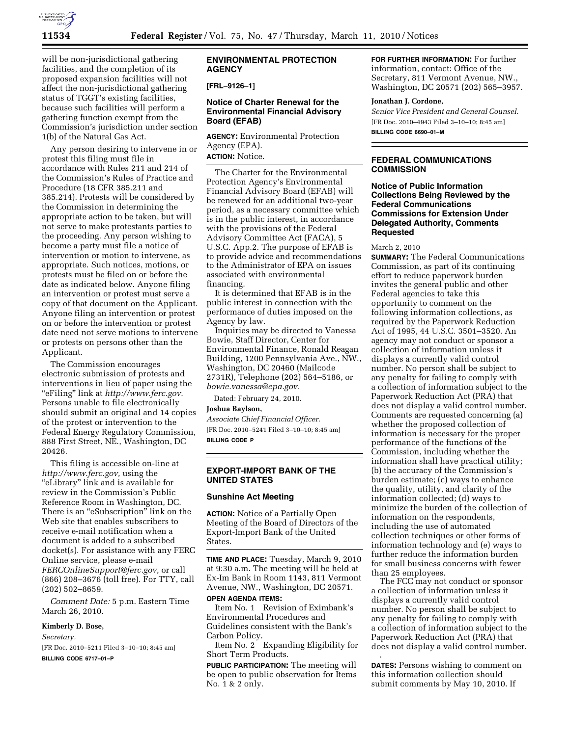

will be non-jurisdictional gathering facilities, and the completion of its proposed expansion facilities will not affect the non-jurisdictional gathering status of TGGT's existing facilities, because such facilities will perform a gathering function exempt from the Commission's jurisdiction under section 1(b) of the Natural Gas Act.

Any person desiring to intervene in or protest this filing must file in accordance with Rules 211 and 214 of the Commission's Rules of Practice and Procedure (18 CFR 385.211 and 385.214). Protests will be considered by the Commission in determining the appropriate action to be taken, but will not serve to make protestants parties to the proceeding. Any person wishing to become a party must file a notice of intervention or motion to intervene, as appropriate. Such notices, motions, or protests must be filed on or before the date as indicated below. Anyone filing an intervention or protest must serve a copy of that document on the Applicant. Anyone filing an intervention or protest on or before the intervention or protest date need not serve motions to intervene or protests on persons other than the Applicant.

The Commission encourages electronic submission of protests and interventions in lieu of paper using the ''eFiling'' link at *http://www.ferc.gov.*  Persons unable to file electronically should submit an original and 14 copies of the protest or intervention to the Federal Energy Regulatory Commission, 888 First Street, NE., Washington, DC 20426.

This filing is accessible on-line at *http://www.ferc.gov,* using the ''eLibrary'' link and is available for review in the Commission's Public Reference Room in Washington, DC. There is an "eSubscription" link on the Web site that enables subscribers to receive e-mail notification when a document is added to a subscribed docket(s). For assistance with any FERC Online service, please e-mail *FERCOnlineSupport@ferc.gov,* or call (866) 208–3676 (toll free). For TTY, call (202) 502–8659.

*Comment Date:* 5 p.m. Eastern Time March 26, 2010.

# **Kimberly D. Bose,**

*Secretary.*  [FR Doc. 2010–5211 Filed 3–10–10; 8:45 am] **BILLING CODE 6717–01–P** 

#### **ENVIRONMENTAL PROTECTION AGENCY**

**[FRL–9126–1]** 

## **Notice of Charter Renewal for the Environmental Financial Advisory Board (EFAB)**

**AGENCY:** Environmental Protection Agency (EPA). **ACTION:** Notice.

The Charter for the Environmental Protection Agency's Environmental Financial Advisory Board (EFAB) will be renewed for an additional two-year period, as a necessary committee which is in the public interest, in accordance with the provisions of the Federal Advisory Committee Act (FACA), 5 U.S.C. App.2. The purpose of EFAB is to provide advice and recommendations to the Administrator of EPA on issues associated with environmental financing.

It is determined that EFAB is in the public interest in connection with the performance of duties imposed on the Agency by law.

Inquiries may be directed to Vanessa Bowie, Staff Director, Center for Environmental Finance, Ronald Reagan Building, 1200 Pennsylvania Ave., NW., Washington, DC 20460 (Mailcode 2731R), Telephone (202) 564–5186, or *bowie.vanessa@epa.gov.* 

Dated: February 24, 2010.

**Joshua Baylson,** 

*Associate Chief Financial Officer.* 

[FR Doc. 2010–5241 Filed 3–10–10; 8:45 am] **BILLING CODE P** 

#### **EXPORT-IMPORT BANK OF THE UNITED STATES**

#### **Sunshine Act Meeting**

**ACTION:** Notice of a Partially Open Meeting of the Board of Directors of the Export-Import Bank of the United States.

**TIME AND PLACE:** Tuesday, March 9, 2010 at 9:30 a.m. The meeting will be held at Ex-Im Bank in Room 1143, 811 Vermont Avenue, NW., Washington, DC 20571.

**OPEN AGENDA ITEMS:**  Item No. 1 Revision of Eximbank's Environmental Procedures and Guidelines consistent with the Bank's Carbon Policy.

Item No. 2 Expanding Eligibility for Short Term Products.

**PUBLIC PARTICIPATION:** The meeting will be open to public observation for Items No. 1 & 2 only.

**FOR FURTHER INFORMATION:** For further information, contact: Office of the Secretary, 811 Vermont Avenue, NW., Washington, DC 20571 (202) 565–3957.

# **Jonathan J. Cordone,**

*Senior Vice President and General Counsel.*  [FR Doc. 2010–4943 Filed 3–10–10; 8:45 am] **BILLING CODE 6690–01–M** 

## **FEDERAL COMMUNICATIONS COMMISSION**

**Notice of Public Information Collections Being Reviewed by the Federal Communications Commissions for Extension Under Delegated Authority, Comments Requested** 

March 2, 2010

**SUMMARY:** The Federal Communications Commission, as part of its continuing effort to reduce paperwork burden invites the general public and other Federal agencies to take this opportunity to comment on the following information collections, as required by the Paperwork Reduction Act of 1995, 44 U.S.C. 3501–3520. An agency may not conduct or sponsor a collection of information unless it displays a currently valid control number. No person shall be subject to any penalty for failing to comply with a collection of information subject to the Paperwork Reduction Act (PRA) that does not display a valid control number. Comments are requested concerning (a) whether the proposed collection of information is necessary for the proper performance of the functions of the Commission, including whether the information shall have practical utility; (b) the accuracy of the Commission's burden estimate; (c) ways to enhance the quality, utility, and clarity of the information collected; (d) ways to minimize the burden of the collection of information on the respondents, including the use of automated collection techniques or other forms of information technology and (e) ways to further reduce the information burden for small business concerns with fewer than 25 employees.

The FCC may not conduct or sponsor a collection of information unless it displays a currently valid control number. No person shall be subject to any penalty for failing to comply with a collection of information subject to the Paperwork Reduction Act (PRA) that does not display a valid control number. .

**DATES:** Persons wishing to comment on this information collection should submit comments by May 10, 2010. If